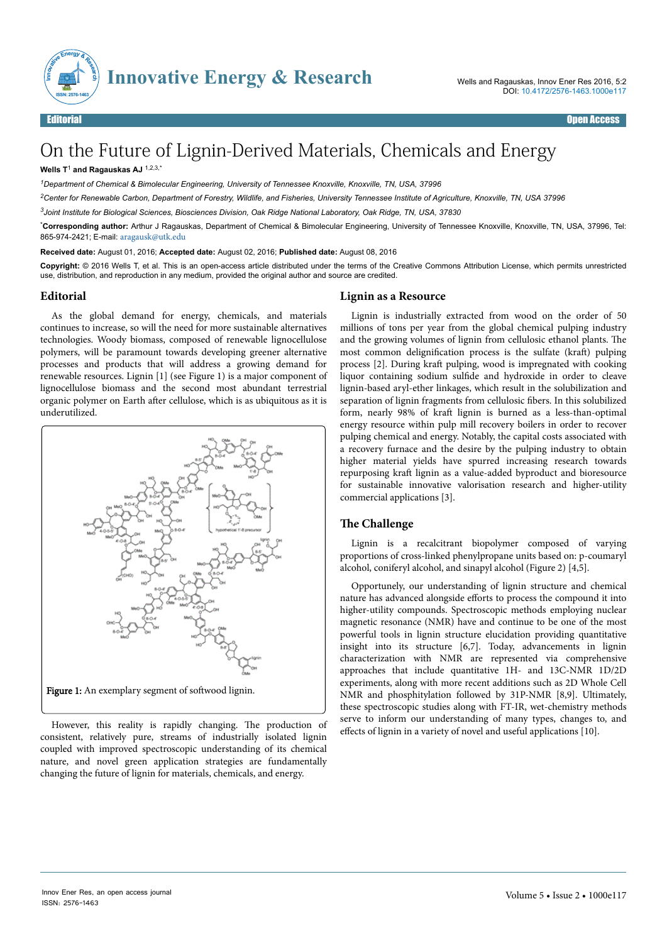

# On the Future of Lignin-Derived Materials, Chemicals and Energy

#### **Wells T**<sup>1</sup>  **and Ragauskas AJ** 1,2,3,\*

*<sup>1</sup>Department of Chemical & Bimolecular Engineering, University of Tennessee Knoxville, Knoxville, TN, USA, 37996*

*<sup>2</sup>Center for Renewable Carbon, Department of Forestry, Wildlife, and Fisheries, University Tennessee Institute of Agriculture, Knoxville, TN, USA 37996*

*<sup>3</sup>Joint Institute for Biological Sciences, Biosciences Division, Oak Ridge National Laboratory, Oak Ridge, TN, USA, 37830*

\***Corresponding author:** Arthur J Ragauskas, Department of Chemical & Bimolecular Engineering, University of Tennessee Knoxville, Knoxville, TN, USA, 37996, Tel: 865-974-2421; E-mail: [aragausk@utk.edu](mailto:aragausk@utk.edu)

**Received date:** August 01, 2016; **Accepted date:** August 02, 2016; **Published date:** August 08, 2016

**Copyright:** © 2016 Wells T, et al. This is an open-access article distributed under the terms of the Creative Commons Attribution License, which permits unrestricted use, distribution, and reproduction in any medium, provided the original author and source are credited.

#### **Editorial**

As the global demand for energy, chemicals, and materials continues to increase, so will the need for more sustainable alternatives technologies. Woody biomass, composed of renewable lignocellulose polymers, will be paramount towards developing greener alternative processes and products that will address a growing demand for renewable resources. Lignin [1] (see Figure 1) is a major component of lignocellulose biomass and the second most abundant terrestrial organic polymer on Earth after cellulose, which is as ubiquitous as it is underutilized.



However, this reality is rapidly changing. Нe production of consistent, relatively pure, streams of industrially isolated lignin coupled with improved spectroscopic understanding of its chemical nature, and novel green application strategies are fundamentally changing the future of lignin for materials, chemicals, and energy.

#### **Lignin as a Resource**

Lignin is industrially extracted from wood on the order of 50 millions of tons per year from the global chemical pulping industry and the growing volumes of lignin from cellulosic ethanol plants. Нe most common delignification process is the sulfate (kraft) pulping process [2]. During kraft pulping, wood is impregnated with cooking liquor containing sodium sulfide and hydroxide in order to cleave lignin-based aryl-ether linkages, which result in the solubilization and separation of lignin fragments from cellulosic fibers. In this solubilized form, nearly 98% of kraft lignin is burned as a less-than-optimal energy resource within pulp mill recovery boilers in order to recover pulping chemical and energy. Notably, the capital costs associated with a recovery furnace and the desire by the pulping industry to obtain higher material yields have spurred increasing research towards repurposing kraft lignin as a value-added byproduct and bioresource for sustainable innovative valorisation research and higher-utility commercial applications [3].

## **The Challenge**

Lignin is a recalcitrant biopolymer composed of varying proportions of cross-linked phenylpropane units based on: p-coumaryl alcohol, coniferyl alcohol, and sinapyl alcohol (Figure 2) [4,5].

Opportunely, our understanding of lignin structure and chemical nature has advanced alongside efforts to process the compound it into higher-utility compounds. Spectroscopic methods employing nuclear magnetic resonance (NMR) have and continue to be one of the most powerful tools in lignin structure elucidation providing quantitative insight into its structure [6,7]. Today, advancements in lignin characterization with NMR are represented via comprehensive approaches that include quantitative 1H- and 13C-NMR 1D/2D experiments, along with more recent additions such as 2D Whole Cell NMR and phosphitylation followed by 31P-NMR [8,9]. Ultimately, these spectroscopic studies along with FT-IR, wet-chemistry methods serve to inform our understanding of many types, changes to, and effects of lignin in a variety of novel and useful applications [10].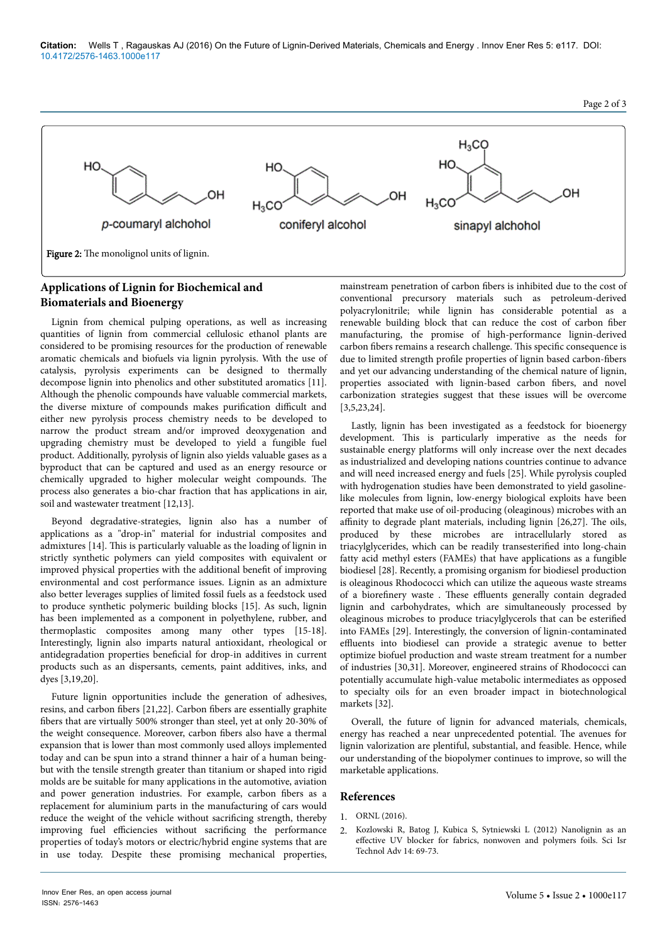

# **Applications of Lignin for Biochemical and Biomaterials and Bioenergy**

Lignin from chemical pulping operations, as well as increasing quantities of lignin from commercial cellulosic ethanol plants are considered to be promising resources for the production of renewable aromatic chemicals and biofuels via lignin pyrolysis. With the use of catalysis, pyrolysis experiments can be designed to thermally decompose lignin into phenolics and other substituted aromatics [11]. Although the phenolic compounds have valuable commercial markets, the diverse mixture of compounds makes purification difficult and either new pyrolysis process chemistry needs to be developed to narrow the product stream and/or improved deoxygenation and upgrading chemistry must be developed to yield a fungible fuel product. Additionally, pyrolysis of lignin also yields valuable gases as a byproduct that can be captured and used as an energy resource or chemically upgraded to higher molecular weight compounds. Нe process also generates a bio-char fraction that has applications in air, soil and wastewater treatment [12,13].

Beyond degradative-strategies, lignin also has a number of applications as a "drop-in" material for industrial composites and admixtures [14]. Нis is particularly valuable as the loading of lignin in strictly synthetic polymers can yield composites with equivalent or improved physical properties with the additional benefit of improving environmental and cost performance issues. Lignin as an admixture also better leverages supplies of limited fossil fuels as a feedstock used to produce synthetic polymeric building blocks [15]. As such, lignin has been implemented as a component in polyethylene, rubber, and thermoplastic composites among many other types [15-18]. Interestingly, lignin also imparts natural antioxidant, rheological or antidegradation properties beneficial for drop-in additives in current products such as an dispersants, cements, paint additives, inks, and dyes [3,19,20].

Future lignin opportunities include the generation of adhesives, resins, and carbon fibers [21,22]. Carbon fibers are essentially graphite fibers that are virtually 500% stronger than steel, yet at only 20-30% of the weight consequence. Moreover, carbon fibers also have a thermal expansion that is lower than most commonly used alloys implemented today and can be spun into a strand thinner a hair of a human beingbut with the tensile strength greater than titanium or shaped into rigid molds are be suitable for many applications in the automotive, aviation and power generation industries. For example, carbon fibers as a replacement for aluminium parts in the manufacturing of cars would reduce the weight of the vehicle without sacrificing strength, thereby improving fuel efficiencies without sacrificing the performance properties of today's motors or electric/hybrid engine systems that are in use today. Despite these promising mechanical properties,

mainstream penetration of carbon fibers is inhibited due to the cost of conventional precursory materials such as petroleum-derived polyacrylonitrile; while lignin has considerable potential as a renewable building block that can reduce the cost of carbon fiber manufacturing, the promise of high-performance lignin-derived carbon fibers remains a research challenge. This specific consequence is due to limited strength profile properties of lignin based carbon-fibers and yet our advancing understanding of the chemical nature of lignin, properties associated with lignin-based carbon fibers, and novel carbonization strategies suggest that these issues will be overcome [3,5,23,24].

Lastly, lignin has been investigated as a feedstock for bioenergy development. Нis is particularly imperative as the needs for sustainable energy platforms will only increase over the next decades as industrialized and developing nations countries continue to advance and will need increased energy and fuels [25]. While pyrolysis coupled with hydrogenation studies have been demonstrated to yield gasolinelike molecules from lignin, low-energy biological exploits have been reported that make use of oil-producing (oleaginous) microbes with an  $affinity$  to degrade plant materials, including lignin [26,27]. The oils, produced by these microbes are intracellularly stored as triacylglycerides, which can be readily transesterified into long-chain fatty acid methyl esters (FAMEs) that have applications as a fungible biodiesel [28]. Recently, a promising organism for biodiesel production is oleaginous Rhodococci which can utilize the aqueous waste streams of a biorefinery waste . These effluents generally contain degraded lignin and carbohydrates, which are simultaneously processed by oleaginous microbes to produce triacylglycerols that can be esterified into FAMEs [29]. Interestingly, the conversion of lignin-contaminated effluents into biodiesel can provide a strategic avenue to better optimize biofuel production and waste stream treatment for a number of industries [30,31]. Moreover, engineered strains of Rhodococci can potentially accumulate high-value metabolic intermediates as opposed to specialty oils for an even broader impact in biotechnological markets [32].

Overall, the future of lignin for advanced materials, chemicals, energy has reached a near unprecedented potential. Нe avenues for lignin valorization are plentiful, substantial, and feasible. Hence, while our understanding of the biopolymer continues to improve, so will the marketable applications.

## **References**

- 1. ORNL (2016).
- 2. Kozlowski R, Batog J, Kubica S, Sytniewski L (2012) Nanolignin as an effective UV blocker for fabrics, nonwoven and polymers foils. Sci Isr Technol Adv 14: 69-73.